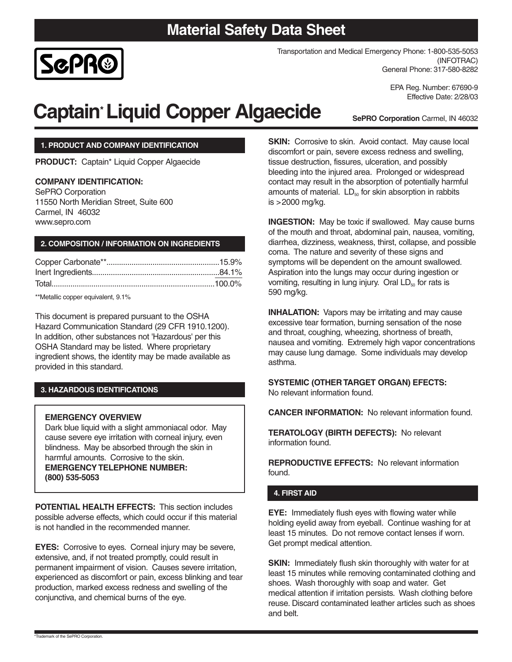# **Material Safety Data Sheet**



Transportation and Medical Emergency Phone: 1-800-535-5053 (INFOTRAC) General Phone: 317-580-8282

> EPA Reg. Number: 67690-9 Effective Date: 2/28/03

# **Captain\*Liquid Copper Algaecide**

**SePRO Corporation** Carmel, IN 46032

### **1. PRODUCT AND COMPANY IDENTIFICATION**

**PRODUCT:** Captain\* Liquid Copper Algaecide

### **COMPANY IDENTIFICATION:**

SePRO Corporation 11550 North Meridian Street, Suite 600 Carmel, IN 46032 www.sepro.com

### **2. COMPOSITION / INFORMATION ON INGREDIENTS**

\*\*Metallic copper equivalent, 9.1%

This document is prepared pursuant to the OSHA Hazard Communication Standard (29 CFR 1910.1200). In addition, other substances not 'Hazardous' per this OSHA Standard may be listed. Where proprietary ingredient shows, the identity may be made available as provided in this standard.

### **3. HAZARDOUS IDENTIFICATIONS**

### **EMERGENCY OVERVIEW**

Dark blue liquid with a slight ammoniacal odor. May cause severe eye irritation with corneal injury, even blindness. May be absorbed through the skin in harmful amounts. Corrosive to the skin. **EMERGENCY TELEPHONE NUMBER: (800) 535-5053**

**POTENTIAL HEALTH EFFECTS:** This section includes possible adverse effects, which could occur if this material is not handled in the recommended manner.

**EYES:** Corrosive to eyes. Corneal injury may be severe, extensive, and, if not treated promptly, could result in permanent impairment of vision. Causes severe irritation, experienced as discomfort or pain, excess blinking and tear production, marked excess redness and swelling of the conjunctiva, and chemical burns of the eye.

**SKIN:** Corrosive to skin. Avoid contact. May cause local discomfort or pain, severe excess redness and swelling, tissue destruction, fissures, ulceration, and possibly bleeding into the injured area. Prolonged or widespread contact may result in the absorption of potentially harmful amounts of material.  $LD_{50}$  for skin absorption in rabbits is >2000 mg/kg.

**INGESTION:** May be toxic if swallowed. May cause burns of the mouth and throat, abdominal pain, nausea, vomiting, diarrhea, dizziness, weakness, thirst, collapse, and possible coma. The nature and severity of these signs and symptoms will be dependent on the amount swallowed. Aspiration into the lungs may occur during ingestion or vomiting, resulting in lung injury. Oral  $LD_{50}$  for rats is 590 mg/kg.

**INHALATION:** Vapors may be irritating and may cause excessive tear formation, burning sensation of the nose and throat, coughing, wheezing, shortness of breath, nausea and vomiting. Extremely high vapor concentrations may cause lung damage. Some individuals may develop asthma.

#### **SYSTEMIC (OTHER TARGET ORGAN) EFECTS:** No relevant information found.

**CANCER INFORMATION:** No relevant information found.

**TERATOLOGY (BIRTH DEFECTS):** No relevant information found.

**REPRODUCTIVE EFFECTS:** No relevant information found.

### **4. FIRST AID**

**EYE:** Immediately flush eyes with flowing water while holding eyelid away from eyeball. Continue washing for at least 15 minutes. Do not remove contact lenses if worn. Get prompt medical attention.

**SKIN:** Immediately flush skin thoroughly with water for at least 15 minutes while removing contaminated clothing and shoes. Wash thoroughly with soap and water. Get medical attention if irritation persists. Wash clothing before reuse. Discard contaminated leather articles such as shoes and belt.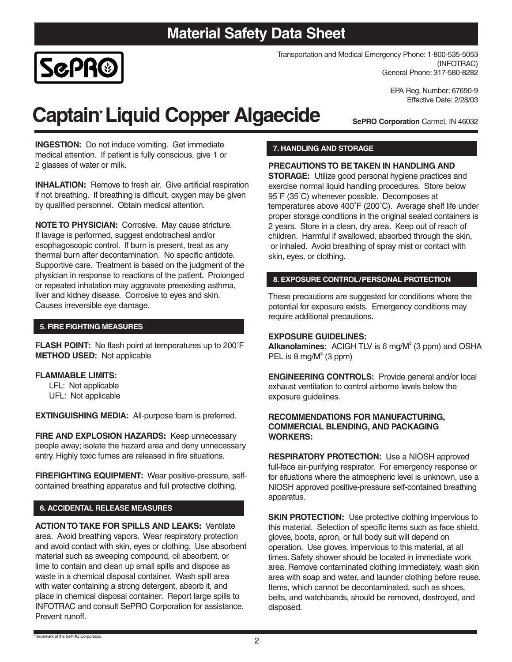# **Material Safety Data Sheet**



Transportation and Medical Emergency Phone: 1-800-535-5053 (INFOTRAC) General Phone: 317-580-8282

> EPA Reg. Number: 67690-9 Effective Date: 2/28/03

# **Captain\*Liquid Copper Algaecide**

**SePRO Corporation** Carmel, IN 46032

**INGESTION:** Do not induce vomiting. Get immediate medical attention. If patient is fully conscious, give 1 or 2 glasses of water or milk.

**INHALATION:** Remove to fresh air. Give artificial respiration if not breathing. If breathing is difficult, oxygen may be given by qualified personnel. Obtain medical attention.

**NOTE TO PHYSICIAN:** Corrosive. May cause stricture. If lavage is performed, suggest endotracheal and/or esophagoscopic control. If burn is present, treat as any thermal burn after decontamination. No specific antidote. Supportive care. Treatment is based on the judgment of the physician in response to reactions of the patient. Prolonged or repeated inhalation may aggravate preexisting asthma, liver and kidney disease. Corrosive to eyes and skin. Causes irreversible eye damage.

### **5. FIRE FIGHTING MEASURES**

**FLASH POINT:** No flash point at temperatures up to 200˚F **METHOD USED:** Not applicable

### **FLAMMABLE LIMITS:**

LFL: Not applicable UFL: Not applicable

**EXTINGUISHING MEDIA:** All-purpose foam is preferred.

FIRE AND EXPLOSION HAZARDS: Keep unnecessary people away; isolate the hazard area and deny unnecessary entry. Highly toxic fumes are released in fire situations.

**FIREFIGHTING EQUIPMENT:** Wear positive-pressure, selfcontained breathing apparatus and full protective clothing.

### **6. ACCIDENTAL RELEASE MEASURES**

**ACTION TO TAKE FOR SPILLS AND LEAKS:** Ventilate area. Avoid breathing vapors. Wear respiratory protection and avoid contact with skin, eyes or clothing. Use absorbent material such as sweeping compound, oil absorbent, or lime to contain and clean up small spills and dispose as waste in a chemical disposal container. Wash spill area with water containing a strong detergent, absorb it, and place in chemical disposal container. Report large spills to INFOTRAC and consult SePRO Corporation for assistance. Prevent runoff.

### **7. HANDLING AND STORAGE**

## **PRECAUTIONS TO BE TAKEN IN HANDLING AND**

**STORAGE:** Utilize good personal hygiene practices and exercise normal liquid handling procedures. Store below 95˚F (35˚C) whenever possible. Decomposes at temperatures above 400˚F (200˚C). Average shelf life under proper storage conditions in the original sealed containers is 2 years. Store in a clean, dry area. Keep out of reach of children. Harmful if swallowed, absorbed through the skin, or inhaled. Avoid breathing of spray mist or contact with skin, eyes, or clothing.

### **8. EXPOSURE CONTROL/PERSONAL PROTECTION**

These precautions are suggested for conditions where the potential for exposure exists. Emergency conditions may require additional precautions.

### **EXPOSURE GUIDELINES:**

**Alkanolamines:** ACIGH TLV is 6 mg/M<sup>3</sup> (3 ppm) and OSHA PEL is 8 mg/ $M^3$  (3 ppm)

**ENGINEERING CONTROLS:** Provide general and/or local exhaust ventilation to control airborne levels below the exposure guidelines.

### **RECOMMENDATIONS FOR MANUFACTURING, COMMERCIAL BLENDING, AND PACKAGING WORKERS:**

**RESPIRATORY PROTECTION:** Use a NIOSH approved full-face air-purifying respirator. For emergency response or for situations where the atmospheric level is unknown, use a NIOSH approved positive-pressure self-contained breathing apparatus.

**SKIN PROTECTION:** Use protective clothing impervious to this material. Selection of specific items such as face shield, gloves, boots, apron, or full body suit will depend on operation. Use gloves, impervious to this material, at all times. Safety shower should be located in immediate work area. Remove contaminated clothing immediately, wash skin area with soap and water, and launder clothing before reuse. Items, which cannot be decontaminated, such as shoes, belts, and watchbands, should be removed, destroyed, and disposed.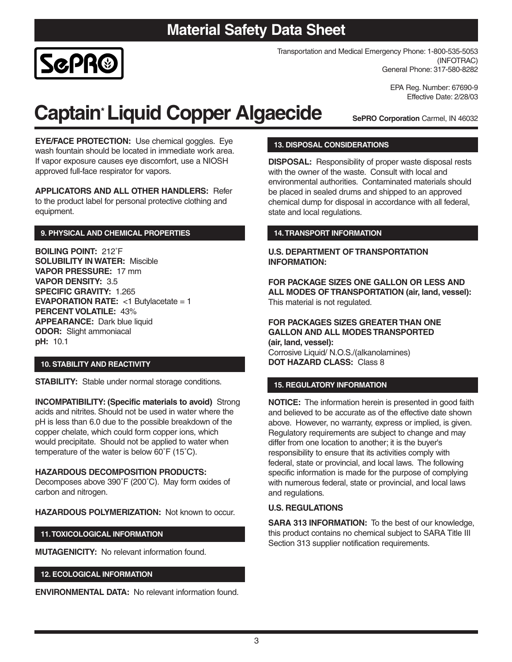# **Material Safety Data Sheet**



Transportation and Medical Emergency Phone: 1-800-535-5053 (INFOTRAC) General Phone: 317-580-8282

> EPA Reg. Number: 67690-9 Effective Date: 2/28/03

# **Captain\*Liquid Copper Algaecide**

**SePRO Corporation** Carmel, IN 46032

**EYE/FACE PROTECTION:** Use chemical goggles. Eye wash fountain should be located in immediate work area. If vapor exposure causes eye discomfort, use a NIOSH approved full-face respirator for vapors.

**APPLICATORS AND ALL OTHER HANDLERS:** Refer to the product label for personal protective clothing and equipment.

# **9. PHYSICAL AND CHEMICAL PROPERTIES**

**BOILING POINT:** 212˚F **SOLUBILITY IN WATER:** Miscible **VAPOR PRESSURE:** 17 mm **VAPOR DENSITY:** 3.5 **SPECIFIC GRAVITY:** 1.265 **EVAPORATION RATE:** <1 Butylacetate = 1 **PERCENT VOLATILE:** 43% **APPEARANCE:** Dark blue liquid **ODOR:** Slight ammoniacal **pH:** 10.1

### **10. STABILITY AND REACTIVITY**

**STABILITY:** Stable under normal storage conditions.

**INCOMPATIBILITY: (Specific materials to avoid)** Strong acids and nitrites. Should not be used in water where the pH is less than 6.0 due to the possible breakdown of the copper chelate, which could form copper ions, which would precipitate. Should not be applied to water when temperature of the water is below 60˚F (15˚C).

# **HAZARDOUS DECOMPOSITION PRODUCTS:**

Decomposes above 390˚F (200˚C). May form oxides of carbon and nitrogen.

**HAZARDOUS POLYMERIZATION:** Not known to occur.

# **11.TOXICOLOGICAL INFORMATION**

**MUTAGENICITY:** No relevant information found.

# **12. ECOLOGICAL INFORMATION**

**ENVIRONMENTAL DATA:** No relevant information found.

## **13. DISPOSAL CONSIDERATIONS**

**DISPOSAL:** Responsibility of proper waste disposal rests with the owner of the waste. Consult with local and environmental authorities. Contaminated materials should be placed in sealed drums and shipped to an approved chemical dump for disposal in accordance with all federal, state and local regulations.

# **14.TRANSPORT INFORMATION**

### **U.S. DEPARTMENT OF TRANSPORTATION INFORMATION:**

**FOR PACKAGE SIZES ONE GALLON OR LESS AND ALL MODES OF TRANSPORTATION (air, land, vessel):** This material is not regulated.

# **FOR PACKAGES SIZES GREATER THAN ONE GALLON AND ALL MODES TRANSPORTED**

**(air, land, vessel):** Corrosive Liquid/ N.O.S./(alkanolamines) **DOT HAZARD CLASS:** Class 8

# **15. REGULATORY INFORMATION**

**NOTICE:** The information herein is presented in good faith and believed to be accurate as of the effective date shown above. However, no warranty, express or implied, is given. Regulatory requirements are subject to change and may differ from one location to another; it is the buyer's responsibility to ensure that its activities comply with federal, state or provincial, and local laws. The following specific information is made for the purpose of complying with numerous federal, state or provincial, and local laws and regulations.

# **U.S. REGULATIONS**

**SARA 313 INFORMATION:** To the best of our knowledge, this product contains no chemical subject to SARA Title III Section 313 supplier notification requirements.